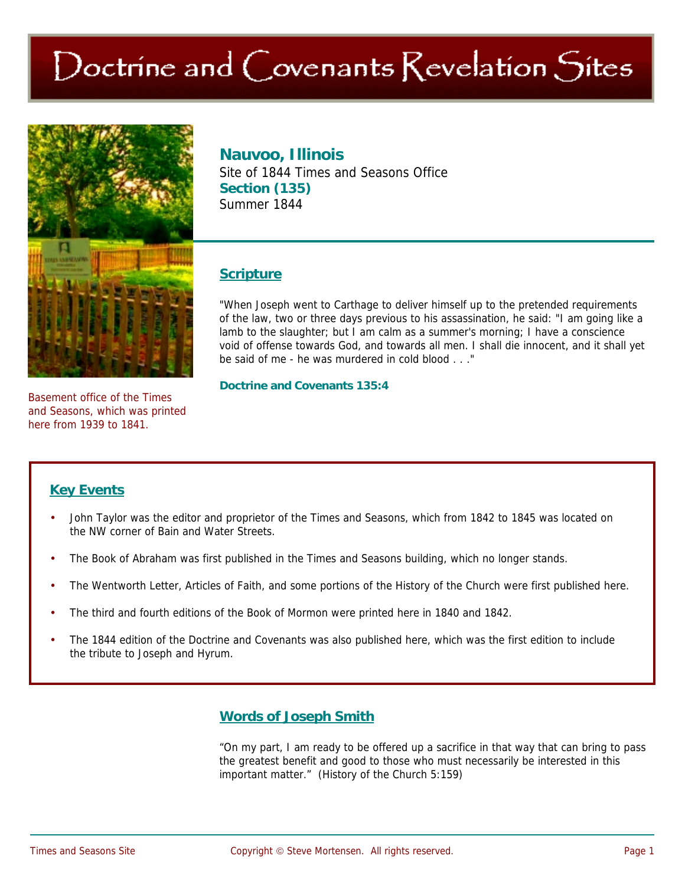# Doctrine and Covenants Revelation Sites



Basement office of the Times and Seasons, which was printed here from 1939 to 1841.

## **Nauvoo, Illinois**

Site of 1844 Times and Seasons Office **Section (135)**  Summer 1844

#### **Scripture**

"When Joseph went to Carthage to deliver himself up to the pretended requirements of the law, two or three days previous to his assassination, he said: "I am going like a lamb to the slaughter; but I am calm as a summer's morning; I have a conscience void of offense towards God, and towards all men. I shall die innocent, and it shall yet be said of me - he was murdered in cold blood . . ."

**Doctrine and Covenants 135:4** 

#### **Key Events**

- John Taylor was the editor and proprietor of the Times and Seasons, which from 1842 to 1845 was located on the NW corner of Bain and Water Streets.
- The Book of Abraham was first published in the Times and Seasons building, which no longer stands.
- The Wentworth Letter, Articles of Faith, and some portions of the History of the Church were first published here.
- The third and fourth editions of the Book of Mormon were printed here in 1840 and 1842.
- The 1844 edition of the Doctrine and Covenants was also published here, which was the first edition to include the tribute to Joseph and Hyrum.

### **Words of Joseph Smith**

"On my part, I am ready to be offered up a sacrifice in that way that can bring to pass the greatest benefit and good to those who must necessarily be interested in this important matter." (History of the Church 5:159)